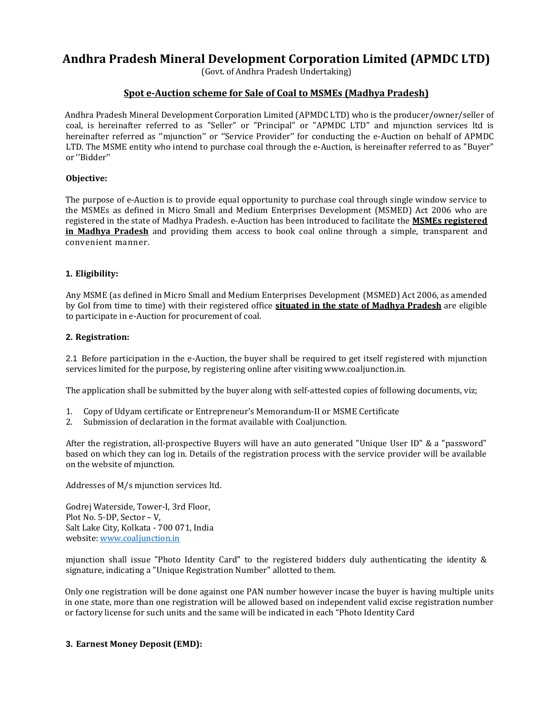# **Andhra Pradesh Mineral Development Corporation Limited (APMDC LTD)**

(Govt. of Andhra Pradesh Undertaking)

# **Spot e-Auction scheme for Sale of Coal to MSMEs (Madhya Pradesh)**

Andhra Pradesh Mineral Development Corporation Limited (APMDC LTD) who is the producer/owner/seller of coal, is hereinafter referred to as "Seller" or "Principal" or "APMDC LTD" and mjunction services ltd is hereinafter referred as ''mjunction'' or ''Service Provider'' for conducting the e-Auction on behalf of APMDC LTD. The MSME entity who intend to purchase coal through the e-Auction, is hereinafter referred to as "Buyer" or ''Bidder''

## **Objective:**

The purpose of e-Auction is to provide equal opportunity to purchase coal through single window service to the MSMEs as defined in Micro Small and Medium Enterprises Development (MSMED) Act 2006 who are registered in the state of Madhya Pradesh. e-Auction has been introduced to facilitate the **MSMEs registered in Madhya Pradesh** and providing them access to book coal online through a simple, transparent and convenient manner.

# **1. Eligibility:**

Any MSME (as defined in Micro Small and Medium Enterprises Development (MSMED) Act 2006, as amended by GoI from time to time) with their registered office **situated in the state of Madhya Pradesh** are eligible to participate in e-Auction for procurement of coal.

# **2. Registration:**

2.1 Before participation in the e-Auction, the buyer shall be required to get itself registered with mjunction services limited for the purpose, by registering online after visiting www.coaljunction.in.

The application shall be submitted by the buyer along with self-attested copies of following documents, viz;

- 1. Copy of Udyam certificate or Entrepreneur's Memorandum-II or MSME Certificate
- 2. Submission of declaration in the format available with Coaljunction.

After the registration, all-prospective Buyers will have an auto generated "Unique User ID" & a "password" based on which they can log in. Details of the registration process with the service provider will be available on the website of mjunction.

Addresses of M/s mjunction services ltd.

Godrej Waterside, Tower-I, 3rd Floor, Plot No. 5-DP, Sector – V, Salt Lake City, Kolkata - 700 071, India website: [www.coaljunction.in](http://www.coaljunction.in/)

mjunction shall issue "Photo Identity Card" to the registered bidders duly authenticating the identity & signature, indicating a "Unique Registration Number" allotted to them.

Only one registration will be done against one PAN number however incase the buyer is having multiple units in one state, more than one registration will be allowed based on independent valid excise registration number or factory license for such units and the same will be indicated in each "Photo Identity Card

#### **3. Earnest Money Deposit (EMD):**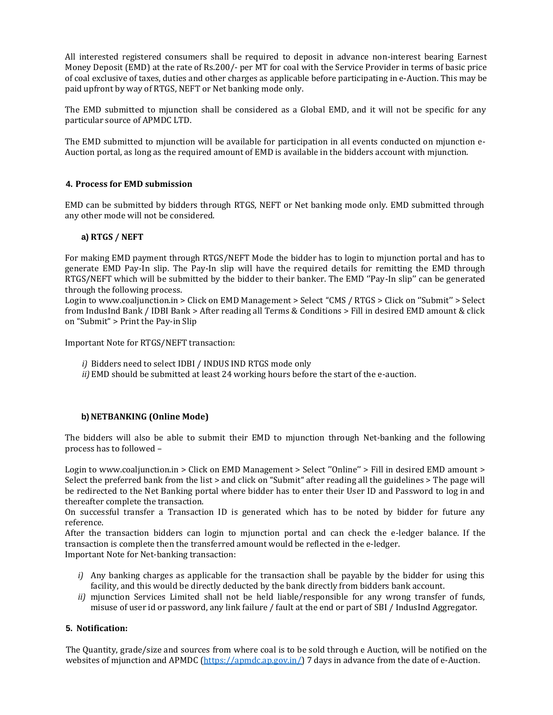All interested registered consumers shall be required to deposit in advance non-interest bearing Earnest Money Deposit (EMD) at the rate of Rs.200/- per MT for coal with the Service Provider in terms of basic price of coal exclusive of taxes, duties and other charges as applicable before participating in e-Auction. This may be paid upfront by way of RTGS, NEFT or Net banking mode only.

The EMD submitted to mjunction shall be considered as a Global EMD, and it will not be specific for any particular source of APMDC LTD.

The EMD submitted to mjunction will be available for participation in all events conducted on mjunction e-Auction portal, as long as the required amount of EMD is available in the bidders account with mjunction.

#### **4. Process for EMD submission**

EMD can be submitted by bidders through RTGS, NEFT or Net banking mode only. EMD submitted through any other mode will not be considered.

#### **a) RTGS / NEFT**

For making EMD payment through RTGS/NEFT Mode the bidder has to login to mjunction portal and has to generate EMD Pay-In slip. The Pay-In slip will have the required details for remitting the EMD through RTGS/NEFT which will be submitted by the bidder to their banker. The EMD "Pay-In slip" can be generated through the following process.

Login t[o www.coaljunction.in >](http://www.coaljunction.in/) Click on EMD Management > Select "CMS / RTGS > Click on ''Submit'' > Select from IndusInd Bank / IDBI Bank > After reading all Terms & Conditions > Fill in desired EMD amount & click on "Submit" > Print the Pay-in Slip

Important Note for RTGS/NEFT transaction:

- *i)* Bidders need to select IDBI / INDUS IND RTGS mode only
- *ii)* EMD should be submitted at least 24 working hours before the start of the e-auction.

#### **b)NETBANKING (Online Mode)**

The bidders will also be able to submit their EMD to mjunction through Net-banking and the following process has to followed –

Login to [www.coaljunction.in](http://www.coaljunction.in/) > Click on EMD Management > Select "Online" > Fill in desired EMD amount > Select the preferred bank from the list > and click on "Submit" after reading all the guidelines > The page will be redirected to the Net Banking portal where bidder has to enter their User ID and Password to log in and thereafter complete the transaction.

On successful transfer a Transaction ID is generated which has to be noted by bidder for future any reference.

After the transaction bidders can login to mjunction portal and can check the e-ledger balance. If the transaction is complete then the transferred amount would be reflected in the e-ledger. Important Note for Net-banking transaction:

- *i*) Any banking charges as applicable for the transaction shall be payable by the bidder for using this facility, and this would be directly deducted by the bank directly from bidders bank account.
- *ii)* mjunction Services Limited shall not be held liable/responsible for any wrong transfer of funds, misuse of user id or password, any link failure / fault at the end or part of SBI / IndusInd Aggregator.

#### **5. Notification:**

The Quantity, grade/size and sources from where coal is to be sold through e Auction, will be notified on the websites of mjunction and APMDC [\(https://apmdc.ap.gov.in/\)](https://apmdc.ap.gov.in/) 7 days in advance from the date of e-Auction.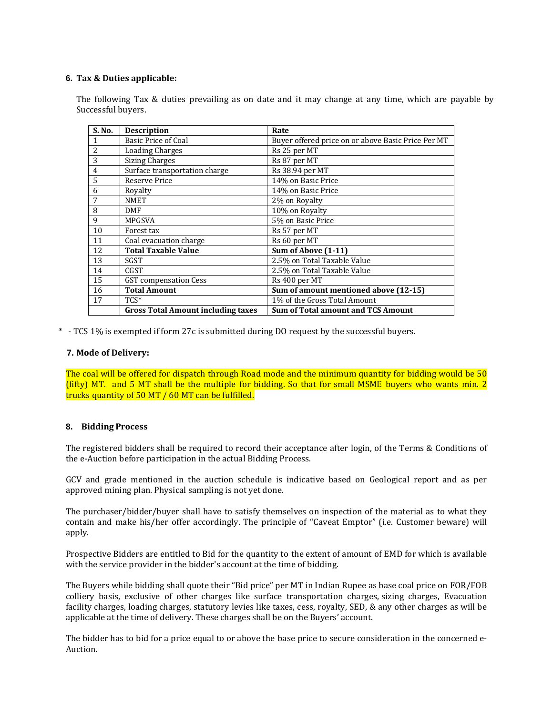## **6. Tax & Duties applicable:**

The following Tax & duties prevailing as on date and it may change at any time, which are payable by Successful buyers.

| S. No.         | <b>Description</b>                        | Rate                                               |
|----------------|-------------------------------------------|----------------------------------------------------|
|                | <b>Basic Price of Coal</b>                | Buyer offered price on or above Basic Price Per MT |
| $\overline{2}$ | <b>Loading Charges</b>                    | Rs 25 per MT                                       |
| 3              | <b>Sizing Charges</b>                     | Rs 87 per MT                                       |
| $\overline{4}$ | Surface transportation charge             | Rs 38.94 per MT                                    |
| 5              | <b>Reserve Price</b>                      | 14% on Basic Price                                 |
| 6              | Royalty                                   | 14% on Basic Price                                 |
| 7              | <b>NMET</b>                               | 2% on Royalty                                      |
| 8              | DMF                                       | 10% on Royalty                                     |
| 9              | <b>MPGSVA</b>                             | 5% on Basic Price                                  |
| 10             | Forest tax                                | Rs 57 per MT                                       |
| 11             | Coal evacuation charge                    | Rs 60 per MT                                       |
| 12             | <b>Total Taxable Value</b>                | Sum of Above (1-11)                                |
| 13             | <b>SGST</b>                               | 2.5% on Total Taxable Value                        |
| 14             | CGST                                      | 2.5% on Total Taxable Value                        |
| 15             | <b>GST</b> compensation Cess              | Rs 400 per MT                                      |
| 16             | <b>Total Amount</b>                       | Sum of amount mentioned above (12-15)              |
| 17             | $TCS*$                                    | 1% of the Gross Total Amount                       |
|                | <b>Gross Total Amount including taxes</b> | <b>Sum of Total amount and TCS Amount</b>          |

\* - TCS 1% is exempted if form 27c is submitted during DO request by the successful buyers.

## **7. Mode of Delivery:**

The coal will be offered for dispatch through Road mode and the minimum quantity for bidding would be 50 (fifty) MT. and 5 MT shall be the multiple for bidding. So that for small MSME buyers who wants min. 2 trucks quantity of 50 MT / 60 MT can be fulfilled.

#### **8. Bidding Process**

The registered bidders shall be required to record their acceptance after login, of the Terms & Conditions of the e-Auction before participation in the actual Bidding Process.

GCV and grade mentioned in the auction schedule is indicative based on Geological report and as per approved mining plan. Physical sampling is not yet done.

The purchaser/bidder/buyer shall have to satisfy themselves on inspection of the material as to what they contain and make his/her offer accordingly. The principle of "Caveat Emptor" (i.e. Customer beware) will apply.

Prospective Bidders are entitled to Bid for the quantity to the extent of amount of EMD for which is available with the service provider in the bidder's account at the time of bidding.

The Buyers while bidding shall quote their "Bid price" per MT in Indian Rupee as base coal price on FOR/FOB colliery basis, exclusive of other charges like surface transportation charges, sizing charges, Evacuation facility charges, loading charges, statutory levies like taxes, cess, royalty, SED, & any other charges as will be applicable at the time of delivery. These charges shall be on the Buyers' account.

The bidder has to bid for a price equal to or above the base price to secure consideration in the concerned e-Auction.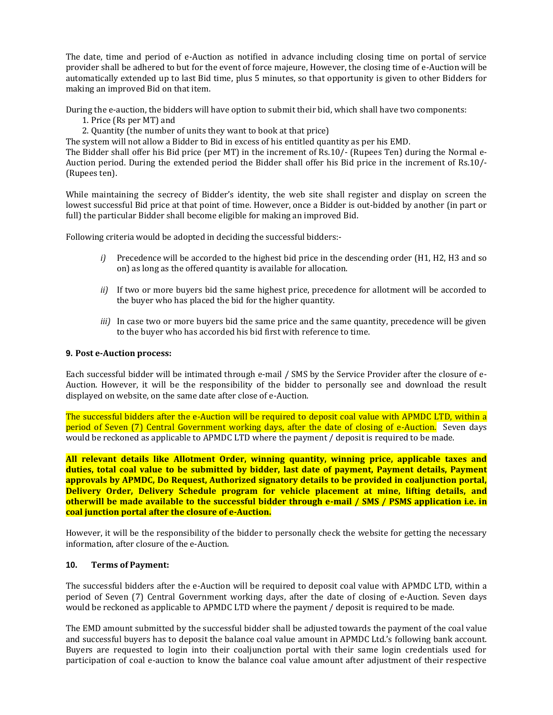The date, time and period of e-Auction as notified in advance including closing time on portal of service provider shall be adhered to but for the event of force majeure, However, the closing time of e-Auction will be automatically extended up to last Bid time, plus 5 minutes, so that opportunity is given to other Bidders for making an improved Bid on that item.

During the e-auction, the bidders will have option to submit their bid, which shall have two components:

- 1. Price (Rs per MT) and
- 2. Quantity (the number of units they want to book at that price)

The system will not allow a Bidder to Bid in excess of his entitled quantity as per his EMD.

The Bidder shall offer his Bid price (per MT) in the increment of Rs.10/- (Rupees Ten) during the Normal e-Auction period. During the extended period the Bidder shall offer his Bid price in the increment of Rs.10/- (Rupees ten).

While maintaining the secrecy of Bidder's identity, the web site shall register and display on screen the lowest successful Bid price at that point of time. However, once a Bidder is out-bidded by another (in part or full) the particular Bidder shall become eligible for making an improved Bid.

Following criteria would be adopted in deciding the successful bidders:-

- *i*) Precedence will be accorded to the highest bid price in the descending order (H1, H2, H3 and so on) as long as the offered quantity is available for allocation.
- *ii)* If two or more buyers bid the same highest price, precedence for allotment will be accorded to the buyer who has placed the bid for the higher quantity.
- *iii*) In case two or more buyers bid the same price and the same quantity, precedence will be given to the buyer who has accorded his bid first with reference to time.

#### **9. Post e-Auction process:**

Each successful bidder will be intimated through e-mail / SMS by the Service Provider after the closure of e-Auction. However, it will be the responsibility of the bidder to personally see and download the result displayed on website, on the same date after close of e-Auction.

The successful bidders after the e-Auction will be required to deposit coal value with APMDC LTD, within a period of Seven (7) Central Government working days, after the date of closing of e-Auction. Seven days would be reckoned as applicable to APMDC LTD where the payment / deposit is required to be made.

**All relevant details like Allotment Order, winning quantity, winning price, applicable taxes and duties, total coal value to be submitted by bidder, last date of payment, Payment details, Payment approvals by APMDC, Do Request, Authorized signatory details to be provided in coaljunction portal, Delivery Order, Delivery Schedule program for vehicle placement at mine, lifting details, and otherwill be made available to the successful bidder through e-mail / SMS / PSMS application i.e. in coal junction portal after the closure of e-Auction.**

However, it will be the responsibility of the bidder to personally check the website for getting the necessary information, after closure of the e-Auction.

#### **10. Terms of Payment:**

The successful bidders after the e-Auction will be required to deposit coal value with APMDC LTD, within a period of Seven (7) Central Government working days, after the date of closing of e-Auction. Seven days would be reckoned as applicable to APMDC LTD where the payment / deposit is required to be made.

The EMD amount submitted by the successful bidder shall be adjusted towards the payment of the coal value and successful buyers has to deposit the balance coal value amount in APMDC Ltd.'s following bank account. Buyers are requested to login into their coaljunction portal with their same login credentials used for participation of coal e-auction to know the balance coal value amount after adjustment of their respective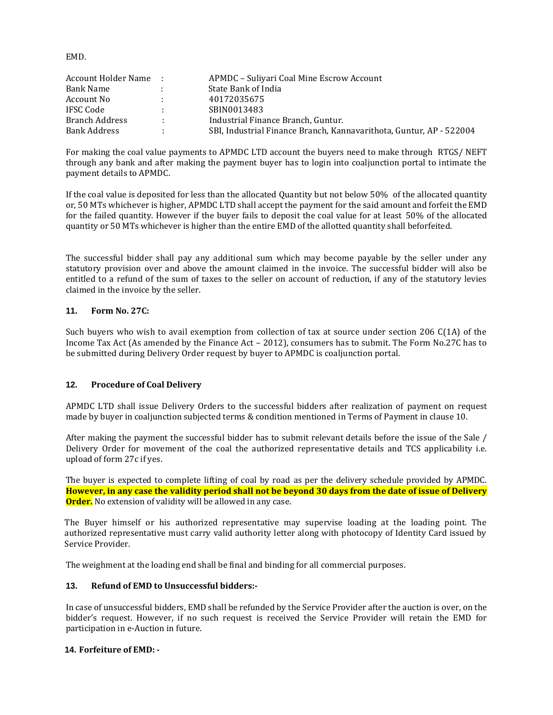EMD.

| Account Holder Name:  |        | APMDC – Suliyari Coal Mine Escrow Account                           |
|-----------------------|--------|---------------------------------------------------------------------|
| Bank Name             |        | State Bank of India                                                 |
| Account No            | $\sim$ | 40172035675                                                         |
| IFSC Code             |        | SBIN0013483                                                         |
| <b>Branch Address</b> |        | Industrial Finance Branch, Guntur.                                  |
| Bank Address          |        | SBI, Industrial Finance Branch, Kannavarithota, Guntur, AP - 522004 |

For making the coal value payments to APMDC LTD account the buyers need to make through RTGS/ NEFT through any bank and after making the payment buyer has to login into coaljunction portal to intimate the payment details to APMDC.

If the coal value is deposited for less than the allocated Quantity but not below 50% of the allocated quantity or, 50 MTs whichever is higher, APMDC LTD shall accept the payment for the said amount and forfeit the EMD for the failed quantity. However if the buyer fails to deposit the coal value for at least 50% of the allocated quantity or 50 MTs whichever is higher than the entire EMD of the allotted quantity shall beforfeited.

The successful bidder shall pay any additional sum which may become payable by the seller under any statutory provision over and above the amount claimed in the invoice. The successful bidder will also be entitled to a refund of the sum of taxes to the seller on account of reduction, if any of the statutory levies claimed in the invoice by the seller.

# **11. Form No. 27C:**

Such buyers who wish to avail exemption from collection of tax at source under section 206 C(1A) of the Income Tax Act (As amended by the Finance Act – 2012), consumers has to submit. The Form No.27C has to be submitted during Delivery Order request by buyer to APMDC is coaljunction portal.

#### **12. Procedure of Coal Delivery**

APMDC LTD shall issue Delivery Orders to the successful bidders after realization of payment on request made by buyer in coaljunction subjected terms & condition mentioned in Terms of Payment in clause 10.

After making the payment the successful bidder has to submit relevant details before the issue of the Sale / Delivery Order for movement of the coal the authorized representative details and TCS applicability i.e. upload of form 27c if yes.

The buyer is expected to complete lifting of coal by road as per the delivery schedule provided by APMDC. **However, in any case the validity period shall not be beyond 30 days from the date of issue of Delivery Order.** No extension of validity will be allowed in any case.

The Buyer himself or his authorized representative may supervise loading at the loading point. The authorized representative must carry valid authority letter along with photocopy of Identity Card issued by Service Provider.

The weighment at the loading end shall be final and binding for all commercial purposes.

#### **13. Refund of EMD to Unsuccessful bidders:-**

In case of unsuccessful bidders, EMD shall be refunded by the Service Provider after the auction is over, on the bidder's request. However, if no such request is received the Service Provider will retain the EMD for participation in e-Auction in future.

#### **14. Forfeiture of EMD: -**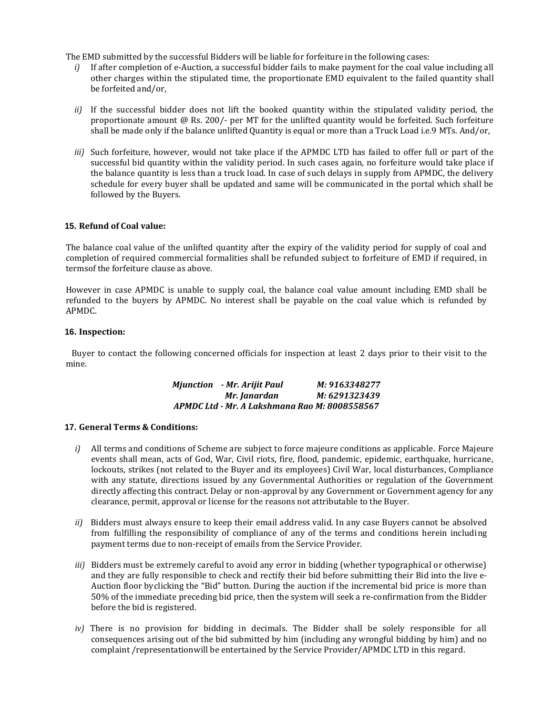The EMD submitted by the successful Bidders will be liable for forfeiture in the following cases:

- *i*) If after completion of e-Auction, a successful bidder fails to make payment for the coal value including all other charges within the stipulated time, the proportionate EMD equivalent to the failed quantity shall be forfeited and/or,
- *ii)* If the successful bidder does not lift the booked quantity within the stipulated validity period, the proportionate amount @ Rs. 200/- per MT for the unlifted quantity would be forfeited. Such forfeiture shall be made only if the balance unlifted Quantity is equal or more than a Truck Load i.e.9 MTs. And/or,
- *iii)* Such forfeiture, however, would not take place if the APMDC LTD has failed to offer full or part of the successful bid quantity within the validity period. In such cases again, no forfeiture would take place if the balance quantity is less than a truck load. In case of such delays in supply from APMDC, the delivery schedule for every buyer shall be updated and same will be communicated in the portal which shall be followed by the Buyers.

#### **15. Refund of Coal value:**

The balance coal value of the unlifted quantity after the expiry of the validity period for supply of coal and completion of required commercial formalities shall be refunded subject to forfeiture of EMD if required, in termsof the forfeiture clause as above.

However in case APMDC is unable to supply coal, the balance coal value amount including EMD shall be refunded to the buyers by APMDC. No interest shall be payable on the coal value which is refunded by APMDC.

## **16. Inspection:**

Buyer to contact the following concerned officials for inspection at least 2 days prior to their visit to the mine.

| Miunction - Mr. Arijit Paul                   | M: 9163348277 |
|-----------------------------------------------|---------------|
| Mr. Janardan                                  | M: 6291323439 |
| APMDC Ltd - Mr. A Lakshmana Rao M: 8008558567 |               |

#### **17. General Terms & Conditions:**

- *i)* All terms and conditions of Scheme are subject to force majeure conditions as applicable. Force Majeure events shall mean, acts of God, War, Civil riots, fire, flood, pandemic, epidemic, earthquake, hurricane, lockouts, strikes (not related to the Buyer and its employees) Civil War, local disturbances, Compliance with any statute, directions issued by any Governmental Authorities or regulation of the Government directly affecting this contract. Delay or non-approval by any Government or Government agency for any clearance, permit, approval or license for the reasons not attributable to the Buyer.
- *ii)* Bidders must always ensure to keep their email address valid. In any case Buyers cannot be absolved from fulfilling the responsibility of compliance of any of the terms and conditions herein including payment terms due to non-receipt of emails from the Service Provider.
- *iii)* Bidders must be extremely careful to avoid any error in bidding (whether typographical or otherwise) and they are fully responsible to check and rectify their bid before submitting their Bid into the live e-Auction floor byclicking the "Bid" button. During the auction if the incremental bid price is more than 50% of the immediate preceding bid price, then the system will seek a re-confirmation from the Bidder before the bid is registered.
- *iv)* There is no provision for bidding in decimals. The Bidder shall be solely responsible for all consequences arising out of the bid submitted by him (including any wrongful bidding by him) and no complaint /representationwill be entertained by the Service Provider/APMDC LTD in this regard.